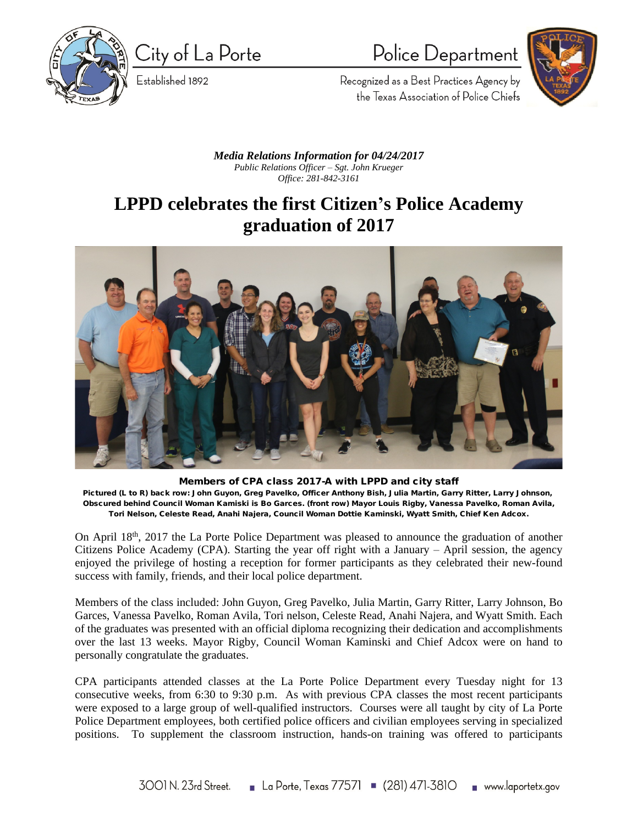

City of La Porte

Established 1892

## Police Department



Recognized as a Best Practices Agency by the Texas Association of Police Chiefs

*Media Relations Information for 04/24/2017 Public Relations Officer – Sgt. John Krueger Office: 281-842-3161*

## **LPPD celebrates the first Citizen's Police Academy graduation of 2017**



**Members of CPA class 2017-A with LPPD and city staff Pictured (L to R) back row: John Guyon, Greg Pavelko, Officer Anthony Bish, Julia Martin, Garry Ritter, Larry Johnson, Obscured behind Council Woman Kamiski is Bo Garces. (front row) Mayor Louis Rigby, Vanessa Pavelko, Roman Avila, Tori Nelson, Celeste Read, Anahi Najera, Council Woman Dottie Kaminski, Wyatt Smith, Chief Ken Adcox.**

On April 18<sup>th</sup>, 2017 the La Porte Police Department was pleased to announce the graduation of another Citizens Police Academy (CPA). Starting the year off right with a January – April session, the agency enjoyed the privilege of hosting a reception for former participants as they celebrated their new-found success with family, friends, and their local police department.

Members of the class included: John Guyon, Greg Pavelko, Julia Martin, Garry Ritter, Larry Johnson, Bo Garces, Vanessa Pavelko, Roman Avila, Tori nelson, Celeste Read, Anahi Najera, and Wyatt Smith. Each of the graduates was presented with an official diploma recognizing their dedication and accomplishments over the last 13 weeks. Mayor Rigby, Council Woman Kaminski and Chief Adcox were on hand to personally congratulate the graduates.

CPA participants attended classes at the La Porte Police Department every Tuesday night for 13 consecutive weeks, from 6:30 to 9:30 p.m. As with previous CPA classes the most recent participants were exposed to a large group of well-qualified instructors. Courses were all taught by city of La Porte Police Department employees, both certified police officers and civilian employees serving in specialized positions. To supplement the classroom instruction, hands-on training was offered to participants